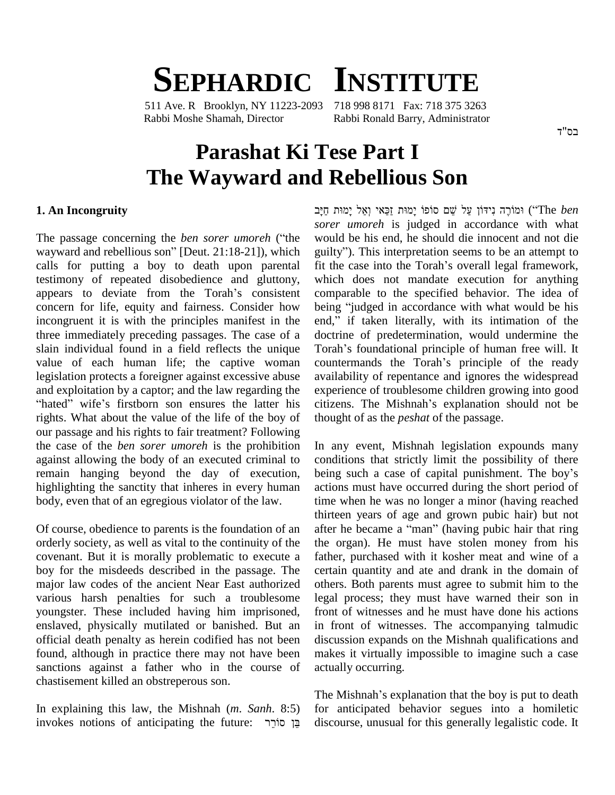# **SEPHARDIC INSTITUTE**

511 Ave. R Brooklyn, NY 11223-2093 718 998 8171 Fax: 718 375 3263 Rabbi Moshe Shamah, Director Rabbi Ronald Barry, Administrator

## **Parashat Ki Tese Part I**  $\bf{The Wayward and Rebellious Son$

### **1. An Incongruity**

The passage concerning the *ben sorer umoreh* (ìthe sorer<br>The passage concerning the *ben sorer umoreh* ("the would<br>wayward and rebellious son" [Deut. 21:18-21]), which guilty' calls for putting a boy to death upon parental testimony of repeated disobedience and gluttony, calls for putting a boy to death upon parental fit<br>testimony of repeated disobedience and gluttony, wh<br>appears to deviate from the Torah's consistent co concern for life, equity and fairness. Consider how incongruent it is with the principles manifest in the end," if taken literally, with its intimation of the three immediately preceding passages. The case of a slain individual found in a field reflects the unique Torah's foundational principle of human free will. It value of each human life; the captive woman countermands the Torah's principle of the ready legislation protects a foreigner against excessive abuse avails<br>and exploitation by a captor; and the law regarding the exper<br>"hated" wife's firstborn son ensures the latter his citize and exploitation by a captor; and the law regarding the rights. What about the value of the life of the boy of our passage and his rights to fair treatment? Following the case of the *ben sorer umoreh* is the prohibition against allowing the body of an executed criminal to remain hanging beyond the day of execution, being such a case of capital punishment. The boy's highlighting the sanctity that inheres in every human body, even that of an egregious violator of the law.

Of course, obedience to parents is the foundation of an orderly society, as well as vital to the continuity of the covenant. But it is morally problematic to execute a boy for the misdeeds described in the passage. The major law codes of the ancient Near East authorized various harsh penalties for such a troublesome youngster. These included having him imprisoned, enslaved, physically mutilated or banished. But an official death penalty as herein codified has not been found, although in practice there may not have been sanctions against a father who in the course of chastisement killed an obstreperous son.

In explaining this law, the Mishnah (*m*. *Sanh*. 8:5) invokes notions of anticipating the future: בֵּן סוֹרֵך  ʺ˒ʮʕʩ ʬˋʍʥ ʩʠ˗ʔʔʦ ʺ˒ʮʕʩ ˣʴˣʱ ʭˇʒ ʬʲʔ ʯˣːʩʑʰ ʤʸʓˣʮ˒ (ìThe *ben sorer umoreh* is judged in accordance with what would be his end, he should die innocent and not die guilty"). This interpretation seems to be an attempt to would be his end, he should die innocent and not die guilty"). This interpretation seems to be an attempt to fit the case into the Torah's overall legal framework, which does not mandate execution for anything comparable to the specified behavior. The idea of which does not mandate execution for anything<br>comparable to the specified behavior. The idea of<br>being "judged in accordance with what would be his comparable to the specified behavior. The idea of<br>being "judged in accordance with what would be his<br>end," if taken literally, with its intimation of the doctrine of predetermination, would undermine the end," if taken literally, with its intimation of the doctrine of predetermination, would undermine the Torah's foundational principle of human free will. It doctrine of predetermination, would undermine the Torah's foundational principle of human free will. It countermands the Torah's principle of the ready availability of repentance and ignores the widespread<br>experience of troublesome children growing into good<br>citizens. The Mishnah's explanation should not be experience of troublesome children growing into good thought of as the *peshat* of the passage.

In any event, Mishnah legislation expounds many conditions that strictly limit the possibility of there In any event, Mishnah legislation expounds many<br>conditions that strictly limit the possibility of there<br>being such a case of capital punishment. The boy's actions must have occurred during the short period of time when he was no longer a minor (having reached thirteen years of age and grown pubic hair) but not after he became a "man" (having pubic hair that ring the organ). He must have stolen money from his father, purchased with it kosher meat and wine of a certain quantity and ate and drank in the domain of others. Both parents must agree to submit him to the legal process; they must have warned their son in front of witnesses and he must have done his actions in front of witnesses. The accompanying talmudic discussion expands on the Mishnah qualifications and makes it virtually impossible to imagine such a case actually occurring.

The Mishnah's explanation that the boy is put to death for anticipated behavior segues into a homiletic discourse, unusual for this generally legalistic code. It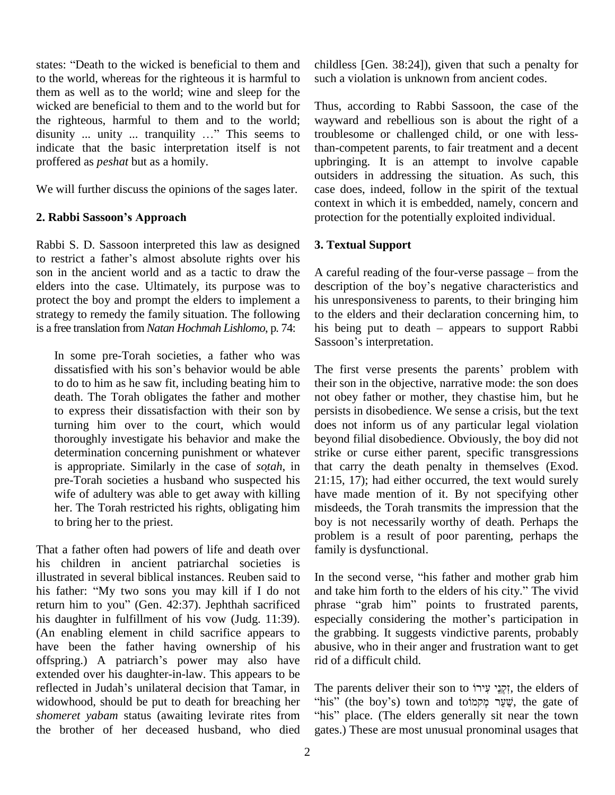states: "Death to the wicked is beneficial to them and to the world, whereas for the righteous it is harmful to them as well as to the world; wine and sleep for the wicked are beneficial to them and to the world but for the righteous, harmful to them and to the world; disunity ... unity ... tranquility ..." This seems to indicate that the basic interpretation itself is not proffered as *peshat* but as a homily.

We will further discuss the opinions of the sages later. **2. Rabbi Sassoonís Approach**

Rabbi S. D. Sassoon interpreted this law as designed 3. Tex Rabbi S. D. Sassoon interpreted this law as designed 3. T<br>to restrict a father's almost absolute rights over his son in the ancient world and as a tactic to draw the elders into the case. Ultimately, its purpose was to protect the boy and prompt the elders to implement a strategy to remedy the family situation. The following is a free translation from *Natan Hochmah Lishlomo*, p. 74:

In some pre-Torah societies, a father who was Sassoon's interpretation.<br>In some pre-Torah societies, a father who was<br>dissatisfied with his son's behavior would be able The first verse presents to do to him as he saw fit, including beating him to death. The Torah obligates the father and mother to express their dissatisfaction with their son by turning him over to the court, which would thoroughly investigate his behavior and make the is appropriate. Similarly in the case of *sotah*, in determination concerning punishment or whatever pre-Torah societies a husband who suspected his wife of adultery was able to get away with killing her. The Torah restricted his rights, obligating him to bring her to the priest.

That a father often had powers of life and death over his children in ancient patriarchal societies is illustrated in several biblical instances. Reuben said to his children in ancient patriarchal societies is<br>illustrated in several biblical instances. Reuben said to In<br>his father: "My two sons you may kill if I do not an illustrated in several biblical instances. Reuben said to In the his father: "My two sons you may kill if I do not and ta return him to you" (Gen. 42:37). Jephthah sacrificed phrase his daughter in fulfillment of his vow (Judg. 11:39). especially considering the mother's participation in (An enabling element in child sacrifice appears to have been the father having ownership of his (An enabling element in child sacrifice appears to the g<br>have been the father having ownership of his abusi<br>offspring.) A patriarch's power may also have rid of extended over his daughter-in-law. This appears to be offspring.) A patriarch's power may also have rid of extended over his daughter-in-law. This appears to be reflected in Judah's unilateral decision that Tamar, in The p widowhood, should be put to death for breaching her "his" (the boy's) town and to שֵׁעַר מְקָמוֹט, the gate of shomeret yabam status (awaiting levirate rites from "his" place. (The elders generally sit near the town *shomeret yabam* status (awaiting levirate rites from the brother of her deceased husband, who died

childless [Gen. 38:24]), given that such a penalty for such a violation is unknown from ancient codes.

Thus, according to Rabbi Sassoon, the case of the wayward and rebellious son is about the right of a troublesome or challenged child, or one with lessthan-competent parents, to fair treatment and a decent upbringing. It is an attempt to involve capable outsiders in addressing the situation. As such, this case does, indeed, follow in the spirit of the textual context in which it is embedded, namely, concern and protection for the potentially exploited individual.

## **3. Textual Support**

A careful reading of the four-verse passage  $-$  from the description of the boy's negative characteristics and his unresponsiveness to parents, to their bringing him to the elders and their declaration concerning him, to his unresponsiveness to parents, to their bringing him<br>to the elders and their declaration concerning him, to<br>his being put to death – appears to support Rabbi to the elders and their declar<br>his being put to death – ap<br>Sassoon's interpretation.

The first verse presents the parents' problem with their son in the objective, narrative mode: the son does not obey father or mother, they chastise him, but he persists in disobedience. We sense a crisis, but the text does not inform us of any particular legal violation beyond filial disobedience. Obviously, the boy did not strike or curse either parent, specific transgressions that carry the death penalty in themselves (Exod. 21:15, 17); had either occurred, the text would surely have made mention of it. By not specifying other misdeeds, the Torah transmits the impression that the boy is not necessarily worthy of death. Perhaps the problem is a result of poor parenting, perhaps the family is dysfunctional. Family is dysfunctional.<br>In the second verse, "his father and mother grab him

In the second verse, "his father and mother grab him<br>and take him forth to the elders of his city." The vivid In the second verse, "his father and mother grab him<br>and take him forth to the elders of his city." The vivid<br>phrase "grab him" points to frustrated parents, and take him forth to the elders of his city." The vivid<br>phrase "grab him" points to frustrated parents, the grabbing. It suggests vindictive parents, probably abusive, who in their anger and frustration want to get rid of a difficult child.

The parents deliver their son to זִקְנֵי עִירוֹ, the elders of The parents deliver their son to זִקְנֵי עִירוֹ, the elders of "his" (the boy's) town and to he parents deliver their son to זְקְנֵי עִירוֹ, the elders of his" (the boy's) town and toir<br>שֵׁעֲר מְקמוֹט (the gate of his" place. (The elders generally sit near the town gates.) These are most unusual pronominal usages that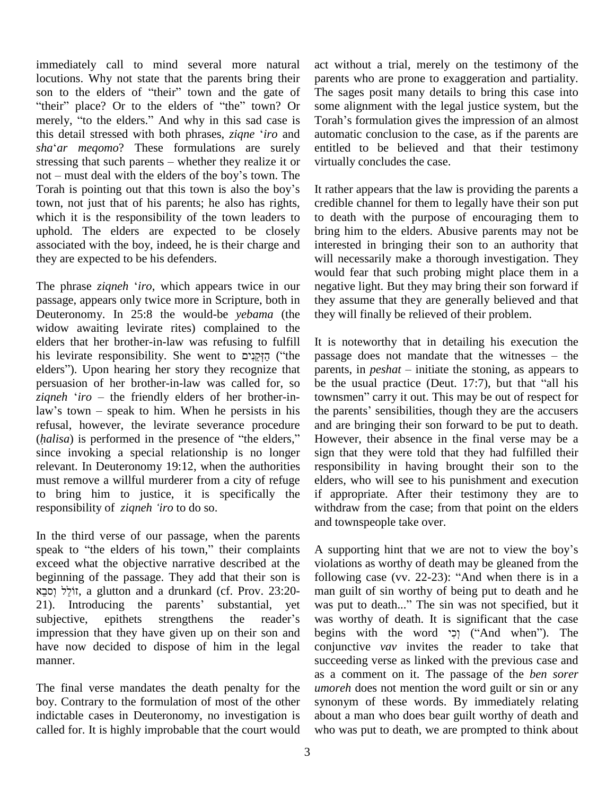immediately call to mind several more natural act<br>locutions. Why not state that the parents bring their par<br>son to the elders of "their" town and the gate of The locutions. Why not state that the parents bring their bocutions. Why not state that the parents bring their par<br>on to the elders of "their" town and the gate of The<br>their" place? Or to the elders of "the" town? Or son son to the elders of "their" town and the gate of The<br>"their" place? Or to the elders of "the" town? Or som<br>merely, "to the elders." And why in this sad case is Tora "their" place? Or to the elders of "the" town? Or some<br>merely, "to the elders." And why in this sad case is Torah<br>this detail stressed with both phrases, *ziqne* '*iro* and autom merely, "to the elders." And why in this sad case is Torah this detail stressed with both phrases, *ziqne 'iro* and autom *sha'ar meqomo*? These formulations are surely entitle this detail stressed with both phrases, *ziqne 'iro* and aut *sha'ar meqomo*? These formulations are surely ent stressing that such parents – whether they realize it or virtually sha'ar meqomo? These formulations are surely entitlends stressing that such parents – whether they realize it or virtual not – must deal with the elders of the boy's town. The stressing that such parents – whether they realize it or not – must deal with the elders of the boy's town. The Torah is pointing out that this town is also the boy's town, not just that of his parents; he also has rights, which it is the responsibility of the town leaders to uphold. The elders are expected to be closely associated with the boy, indeed, he is their charge and they are expected to be his defenders.

The phrase *ziqneh* <sup>ë</sup>*iro*, which appears twice in our passage, appears only twice more in Scripture, both in Deuteronomy. In 25:8 the would-be *yebama* (the widow awaiting levirate rites) complained to the<br>elders that her brother-in-law was refusing to fulfill It is<br>his levirate responsibility. She went to מַקְמֵנִים ("the passa elders that her brother-in-law was refusing to fulfill elders that her brother-in-law was refusing to fulfill It<br>his levirate responsibility. She went to הַזְקֵנִים ("the pa<br>elders"). Upon hearing her story they recognize that pa persuasion of her brother-in-law was called for, so elders"). Upon hearing her story they recognize that<br>persuasion of her brother-in-law was called for, so<br>*ziqneh 'iro* – the friendly elders of her brother-inpersuasion of her brother-in-law was called for, so be t<br> *ziqneh 'iro* – the friendly elders of her brother-in-<br>
law's town – speak to him. When he persists in his the j refusal, however, the levirate severance procedure law's town – speak to him. When he persists in his the p<br>refusal, however, the levirate severance procedure and a<br>(*halisa*) is performed in the presence of "the elders," Howe since invoking a special relationship is no longer relevant. In Deuteronomy 19:12, when the authorities must remove a willful murderer from a city of refuge elder<br>to bring him to justice, it is specifically the if approposibility of *ziqneh 'iro* to do so. to bring him to justice, it is specifically the

In the third verse of our passage, when the parents and<br>In the third verse of our passage, when the parents<br>speak to "the elders of his town," their complaints A su exceed what the objective narrative described at the viola beginning of the passage. They add that their son is follo ed what the objective narrative described at the violning of the passage. They add that their son is foll<br>it, a glutton and a drunkard (cf. Prov. 23:20ine passage. They add that their son is<br>
iting the parents of the parents' substantial, yet was altronoucing the parents' substantial, yet was with the parents' substantial, yet with the substantial, yet with  $\frac{1}{2}$ it, a glutton and a drunkard (cf. Prov. 23:20-<br>21). Introducing the parents' substantial, yet subjective, epithets strengthens the reader's impression that they have given up on their son and have now decided to dispose of him in the legal manner.

The final verse mandates the death penalty for the boy. Contrary to the formulation of most of the other indictable cases in Deuteronomy, no investigation is called for. It is highly improbable that the court would act without a trial, merely on the testimony of the parents who are prone to exaggeration and partiality. The sages posit many details to bring this case into some alignment with the legal justice system, but the The sages posit many details to bring this case into<br>some alignment with the legal justice system, but the<br>Torah's formulation gives the impression of an almost automatic conclusion to the case, as if the parents are entitled to be believed and that their testimony virtually concludes the case.

It rather appears that the law is providing the parents a credible channel for them to legally have their son put to death with the purpose of encouraging them to bring him to the elders. Abusive parents may not be interested in bringing their son to an authority that will necessarily make a thorough investigation. They would fear that such probing might place them in a negative light. But they may bring their son forward if they assume that they are generally believed and that they will finally be relieved of their problem.

It is noteworthy that in detailing his execution the It is noteworthy that in detailing his execution the passage does not mandate that the witnesses – the It is noteworthy that in detailing his execution the passage does not mandate that the witnesses – the parents, in *peshat* – initiate the stoning, as appears to passage does not mandate that the witnesses – the parents, in  $peshat$  – initiate the stoning, as appears to be the usual practice (Deut. 17:7), but that "all his parents, in *peshat* – initiate the stoning, as appears to<br>be the usual practice (Deut. 17:7), but that "all his<br>townsmen" carry it out. This may be out of respect for townsmen" carry it out. This may be out of respect for the parents' sensibilities, though they are the accusers and are bringing their son forward to be put to death. However, their absence in the final verse may be a sign that they were told that they had fulfilled their responsibility in having brought their son to the elders, who will see to his punishment and execution if appropriate. After their testimony they are to withdraw from the case; from that point on the elders and townspeople take over.

A supporting hint that we are not to view the boy's violations as worthy of death may be gleaned from the A supporting hint that we are not to view the boy's violations as worthy of death may be gleaned from the following case (vv. 22-23): "And when there is in a man guilt of sin worthy of being put to death and he following case (vv. 22-23): "And when there is in a<br>man guilt of sin worthy of being put to death and he<br>was put to death..." The sin was not specified, but it was worthy of death. It is significant that the case was put to death..." The sin was not specified, but it conjunctive *vav* invites the reader to take that succeeding verse as linked with the previous case and as a comment on it. The passage of the *ben sorer umoreh* does not mention the word guilt or sin or any synonym of these words. By immediately relating about a man who does bear guilt worthy of death and who was put to death, we are prompted to think about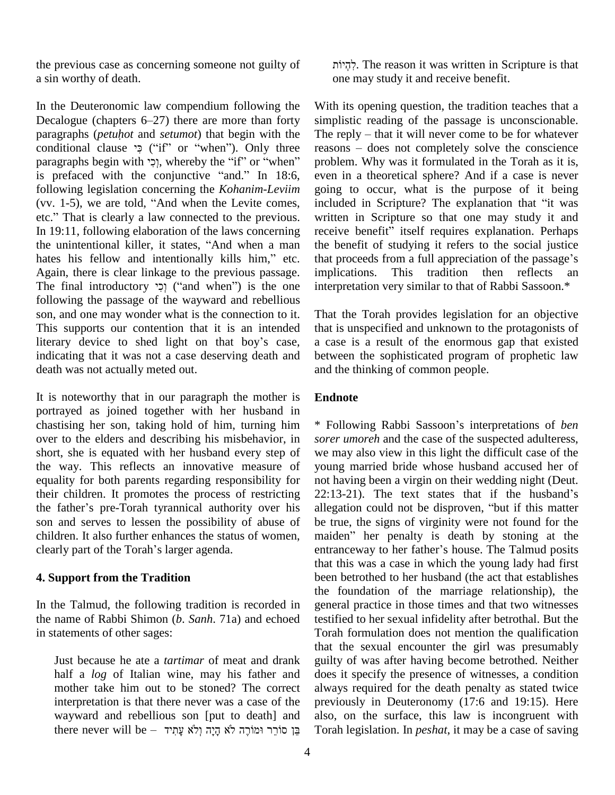the previous case as concerning someone not guilty of a sin worthy of death.

In the Deuteronomic law compendium following the In the Deuteronomic law compendium following the With i<br>Decalogue (chapters 6–27) there are more than forty simpli In the Deuteronomic law compendium following the With<br>Decalogue (chapters 6–27) there are more than forty simply<br>paragraphs (*petuhot* and *setumot*) that begin with the The r Decalogue (chapters 6–27) there are more than forty simply<br>paragraphs (*petuhot* and *setumot*) that begin with the The i<br>conditional clause 'ext' c'if'' or ''when''). Only three reaso paragraphs (*petuhot* and *setumot*) that begin with the The i<br>conditional clause  $\gamma$  ("if" or "when"). Only three reaso<br>paragraphs begin with  $\gamma$ ), whereby the "if" or "when" probl er conditional clause  $\gamma$  ("if" or "when"). Only three reparagraphs begin with  $\gamma$ , whereby the "if" or "when" price is prefaced with the conjunctive "and." In 18:6, ev following legislation concerning the *Kohanim-Leviim* is prefaced with the conjunctive "and." In 18:6, following legislation concerning the *Kohanim-Leviim* (vv. 1-5), we are told, "And when the Levite comes, following legislation concerning the *Kohanim-Leviim* got (vv. 1-5), we are told, "And when the Levite comes, in etc." That is clearly a law connected to the previous. In 19:11, following elaboration of the laws concerning receive<br>the unintentional killer, it states, "And when a man the be<br>hates his fellow and intentionally kills him," etc. that pr etc." That is clearly a law connected to the previous. writtentional killer, it states, "And when a man the be Again, there is clear linkage to the previous passage. implications. hates his fellow and intentionally kills him," etc. that proceeds from a full appreciation of the passage's Again, there is clear linkage to the previous passage. implications. This tradition then reflects an The final int following the passage of the wayward and rebellious son, and one may wonder what is the connection to it. This supports our contention that it is an intended literary device to shed light on that boy's case, indicating that it was not a case deserving death and death was not actually meted out.

It is noteworthy that in our paragraph the mother is portrayed as joined together with her husband in chastising her son, taking hold of him, turning him over to the elders and describing his misbehavior, in short, she is equated with her husband every step of the way. This reflects an innovative measure of equality for both parents regarding responsibility for not l<br>their children. It promotes the process of restricting 22:1<br>the father's pre-Torah tyrannical authority over his alleg their children. It promotes the process of restricting 22:13-21). The text states that if the husband's son and serves to lessen the possibility of abuse of be children. It also further enhances the status of women, ma clearly part of the Torah's larger agenda. children. It also further enhances the status of women, maiden" her penalty is death by stoning at the

## **4. Support from the Tradition**

In the Talmud, the following tradition is recorded in the name of Rabbi Shimon (*b*. *Sanh*. 71a) and echoed in statements of other sages:

Just because he ate a *tartimar* of meat and drank half a *log* of Italian wine, may his father and mother take him out to be stoned? The correct interpretation is that there never was a case of the wayward and rebellious son [put to death] and there never will be – עֲן סוֹרֵר וּמוֹרֶה לֹא הַיֵּה וְלֹא עֲתָיד . The reason it was written in Scripture is that one may study it and receive benefit.

With its opening question, the tradition teaches that a simplistic reading of the passage is unconscionable. With its opening question, the tradition teaches that a<br>simplistic reading of the passage is unconscionable.<br>The reply – that it will never come to be for whatever simplistic reading of the passage is unconscionable.<br>The reply – that it will never come to be for whatever<br>reasons – does not completely solve the conscience problem. Why was it formulated in the Torah as it is, even in a theoretical sphere? And if a case is never<br>going to occur, what is the purpose of it being<br>included in Scripture? The explanation that "it was going to occur, what is the purpose of it being written in Scripture so that one may study it and included in Scripture? The explanation that "it was written in Scripture so that one may study it and receive benefit" itself requires explanation. Perhaps the benefit of studying it refers to the social justice receive benefit<sup>5</sup> itself requires explanation. Perhaps the benefit of studying it refers to the social justice that proceeds from a full appreciation of the passage's This tradition then reflects an interpretation very similar to that of Rabbi Sassoon.\*

That the Torah provides legislation for an objective that is unspecified and unknown to the protagonists of a case is a result of the enormous gap that existed between the sophisticated program of prophetic law and the thinking of common people.

## **Endnote**

\* Following Rabbi Sassooní<sup>s</sup> interpretations of *ben sorer umoreh* and the case of the suspected adulteress, we may also view in this light the difficult case of the young married bride whose husband accused her of not having been a virgin on their wedding night (Deut. young married bride whose husband accused her of<br>not having been a virgin on their wedding night (Deut.<br>22:13-21). The text states that if the husband's not having been a virgin on their wedding night (Deut.<br>22:13-21). The text states that if the husband's allegation could not be disproven, "but if this matter be true, the signs of virginity were not found for the maiden" her penalty is death by stoning at the entranceway to her father's house. The Talmud posits allegation could not be disproven, "but if this matter that this was a case in which the young lady had first been betrothed to her husband (the act that establishes the foundation of the marriage relationship), the general practice in those times and that two witnesses testified to her sexual infidelity after betrothal. But the Torah formulation does not mention the qualification that the sexual encounter the girl was presumably guilty of was after having become betrothed. Neither does it specify the presence of witnesses, a condition always required for the death penalty as stated twice previously in Deuteronomy (17:6 and 19:15). Here also, on the surface, this law is incongruent with Torah legislation. In *peshat*, it may be a case of saving